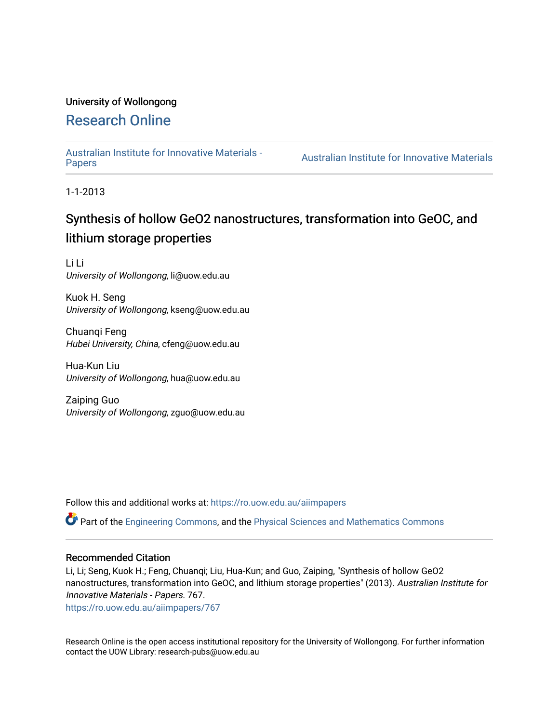### University of Wollongong

### [Research Online](https://ro.uow.edu.au/)

[Australian Institute for Innovative Materials -](https://ro.uow.edu.au/aiimpapers)

Australian Institute for Innovative Materials

1-1-2013

## Synthesis of hollow GeO2 nanostructures, transformation into GeOC, and lithium storage properties

Li Li University of Wollongong, li@uow.edu.au

Kuok H. Seng University of Wollongong, kseng@uow.edu.au

Chuanqi Feng Hubei University, China, cfeng@uow.edu.au

Hua-Kun Liu University of Wollongong, hua@uow.edu.au

Zaiping Guo University of Wollongong, zguo@uow.edu.au

Follow this and additional works at: [https://ro.uow.edu.au/aiimpapers](https://ro.uow.edu.au/aiimpapers?utm_source=ro.uow.edu.au%2Faiimpapers%2F767&utm_medium=PDF&utm_campaign=PDFCoverPages)

Part of the [Engineering Commons](http://network.bepress.com/hgg/discipline/217?utm_source=ro.uow.edu.au%2Faiimpapers%2F767&utm_medium=PDF&utm_campaign=PDFCoverPages), and the [Physical Sciences and Mathematics Commons](http://network.bepress.com/hgg/discipline/114?utm_source=ro.uow.edu.au%2Faiimpapers%2F767&utm_medium=PDF&utm_campaign=PDFCoverPages) 

#### Recommended Citation

Li, Li; Seng, Kuok H.; Feng, Chuanqi; Liu, Hua-Kun; and Guo, Zaiping, "Synthesis of hollow GeO2 nanostructures, transformation into GeOC, and lithium storage properties" (2013). Australian Institute for Innovative Materials - Papers. 767.

[https://ro.uow.edu.au/aiimpapers/767](https://ro.uow.edu.au/aiimpapers/767?utm_source=ro.uow.edu.au%2Faiimpapers%2F767&utm_medium=PDF&utm_campaign=PDFCoverPages)

Research Online is the open access institutional repository for the University of Wollongong. For further information contact the UOW Library: research-pubs@uow.edu.au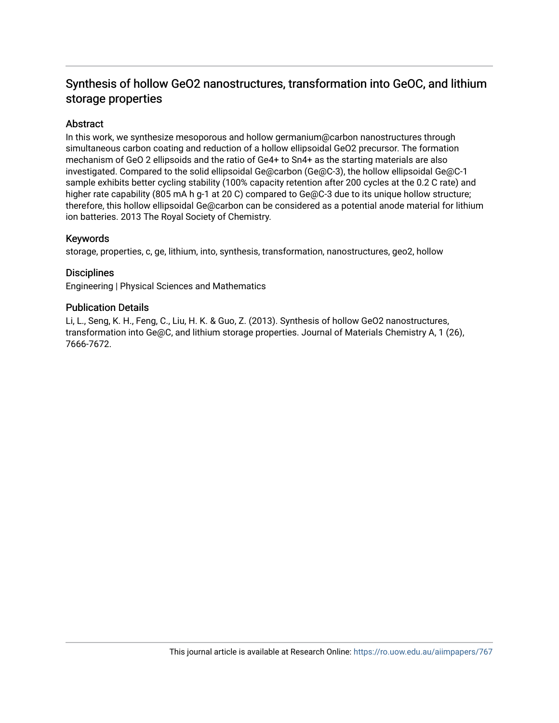### Synthesis of hollow GeO2 nanostructures, transformation into GeOC, and lithium storage properties

### **Abstract**

In this work, we synthesize mesoporous and hollow germanium@carbon nanostructures through simultaneous carbon coating and reduction of a hollow ellipsoidal GeO2 precursor. The formation mechanism of GeO 2 ellipsoids and the ratio of Ge4+ to Sn4+ as the starting materials are also investigated. Compared to the solid ellipsoidal Ge@carbon (Ge@C-3), the hollow ellipsoidal Ge@C-1 sample exhibits better cycling stability (100% capacity retention after 200 cycles at the 0.2 C rate) and higher rate capability (805 mA h g-1 at 20 C) compared to Ge@C-3 due to its unique hollow structure; therefore, this hollow ellipsoidal Ge@carbon can be considered as a potential anode material for lithium ion batteries. 2013 The Royal Society of Chemistry.

### Keywords

storage, properties, c, ge, lithium, into, synthesis, transformation, nanostructures, geo2, hollow

### **Disciplines**

Engineering | Physical Sciences and Mathematics

### Publication Details

Li, L., Seng, K. H., Feng, C., Liu, H. K. & Guo, Z. (2013). Synthesis of hollow GeO2 nanostructures, transformation into Ge@C, and lithium storage properties. Journal of Materials Chemistry A, 1 (26), 7666-7672.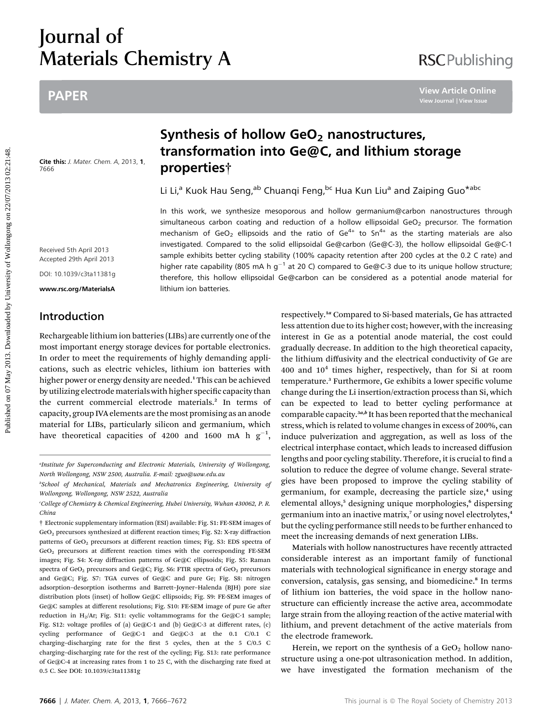# Journal of Materials Chemistry A

### PAPER

Cite this: J. Mater. Chem. A, 2013, 1, 7666

### Synthesis of hollow  $GeO<sub>2</sub>$  nanostructures, transformation into Ge@C, and lithium storage properties†

Li Li,<sup>a</sup> Kuok Hau Seng,<sup>ab</sup> Chuanqi Feng,<sup>bc</sup> Hua Kun Liu<sup>a</sup> and Zaiping Guo<sup>\*abc</sup>

In this work, we synthesize mesoporous and hollow germanium@carbon nanostructures through simultaneous carbon coating and reduction of a hollow ellipsoidal GeO<sub>2</sub> precursor. The formation mechanism of GeO<sub>2</sub> ellipsoids and the ratio of Ge<sup>4+</sup> to Sn<sup>4+</sup> as the starting materials are also investigated. Compared to the solid ellipsoidal Ge@carbon (Ge@C-3), the hollow ellipsoidal Ge@C-1 sample exhibits better cycling stability (100% capacity retention after 200 cycles at the 0.2 C rate) and higher rate capability (805 mA h  $g^{-1}$  at 20 C) compared to Ge@C-3 due to its unique hollow structure; therefore, this hollow ellipsoidal Ge@carbon can be considered as a potential anode material for lithium ion batteries. **PAPER**<br> **Synthesis of hollow GeO<sub>2</sub> nanostructures,<br>
transformation into Ge@C, and lithium storage<br>
on 0.21:21:<br>
The state of the come A 2013.1. <b>properties**<sup>26</sup><br>  $\frac{1}{2}$ <br>
The state of Muang <sup>ab</sup> Chuang i Figg.<sup>64</sup> Hua

Received 5th April 2013 Accepted 29th April 2013

DOI: 10.1039/c3ta11381g

www.rsc.org/MaterialsA

### Introduction

Rechargeable lithium ion batteries (LIBs) are currently one of the most important energy storage devices for portable electronics. In order to meet the requirements of highly demanding applications, such as electric vehicles, lithium ion batteries with higher power or energy density are needed.<sup>1</sup> This can be achieved by utilizing electrode materials with higher specific capacity than the current commercial electrode materials.<sup>2</sup> In terms of capacity, group IVA elements are the most promising as an anode material for LIBs, particularly silicon and germanium, which have theoretical capacities of 4200 and 1600 mA h  $g^{-1}$ ,

respectively.<sup>1a</sup> Compared to Si-based materials, Ge has attracted less attention due to its higher cost; however, with the increasing interest in Ge as a potential anode material, the cost could gradually decrease. In addition to the high theoretical capacity, the lithium diffusivity and the electrical conductivity of Ge are 400 and  $10<sup>4</sup>$  times higher, respectively, than for Si at room temperature.<sup>3</sup> Furthermore, Ge exhibits a lower specific volume change during the Li insertion/extraction process than Si, which can be expected to lead to better cycling performance at comparable capacity.<sup>3a,b</sup> It has been reported that the mechanical stress, which is related to volume changes in excess of 200%, can induce pulverization and aggregation, as well as loss of the electrical interphase contact, which leads to increased diffusion lengths and poor cycling stability. Therefore, it is crucial to find a solution to reduce the degree of volume change. Several strategies have been proposed to improve the cycling stability of germanium, for example, decreasing the particle size,<sup>4</sup> using elemental alloys,<sup>5</sup> designing unique morphologies,<sup>6</sup> dispersing germanium into an inactive matrix,<sup>7</sup> or using novel electrolytes,<sup>4</sup> but the cycling performance still needs to be further enhanced to meet the increasing demands of next generation LIBs.

**RSCPublishing** 

Materials with hollow nanostructures have recently attracted considerable interest as an important family of functional materials with technological significance in energy storage and conversion, catalysis, gas sensing, and biomedicine.<sup>8</sup> In terms of lithium ion batteries, the void space in the hollow nanostructure can efficiently increase the active area, accommodate large strain from the alloying reaction of the active material with lithium, and prevent detachment of the active materials from the electrode framework.

Herein, we report on the synthesis of a  $GeO<sub>2</sub>$  hollow nanostructure using a one-pot ultrasonication method. In addition, we have investigated the formation mechanism of the

<sup>&</sup>quot;Institute for Superconducting and Electronic Materials, University of Wollongong, North Wollongong, NSW 2500, Australia. E-mail: zguo@uow.edu.au

b School of Mechanical, Materials and Mechatronics Engineering, University of Wollongong, Wollongong, NSW 2522, Australia

c College of Chemistry & Chemical Engineering, Hubei University, Wuhan 430062, P. R. China

<sup>†</sup> Electronic supplementary information (ESI) available: Fig. S1: FE-SEM images of GeO2 precursors synthesized at different reaction times; Fig. S2: X-ray diffraction patterns of GeO<sub>2</sub> precursors at different reaction times; Fig. S3: EDS spectra of GeO2 precursors at different reaction times with the corresponding FE-SEM images; Fig. S4: X-ray diffraction patterns of Ge@C ellipsoids; Fig. S5: Raman spectra of GeO<sub>2</sub> precursors and Ge@C; Fig. S6: FTIR spectra of GeO<sub>2</sub> precursors and Ge@C; Fig. S7: TGA curves of Ge@C and pure Ge; Fig. S8: nitrogen adsorption–desorption isotherms and Barrett–Joyner–Halenda (BJH) pore size distribution plots (inset) of hollow Ge@C ellipsoids; Fig. S9: FE-SEM images of Ge@C samples at different resolutions; Fig. S10: FE-SEM image of pure Ge after reduction in H<sub>2</sub>/Ar; Fig. S11: cyclic voltammograms for the Ge@C-1 sample; Fig. S12: voltage profiles of (a) Ge@C-1 and (b) Ge@C-3 at different rates, (c) cycling performance of Ge@C-1 and Ge@C-3 at the 0.1 C/0.1 C charging-discharging rate for the first 5 cycles, then at the 5  $C/0.5$  C charging–discharging rate for the rest of the cycling; Fig. S13: rate performance of Ge@C-4 at increasing rates from 1 to 25 C, with the discharging rate fixed at 0.5 C. See DOI: 10.1039/c3ta11381g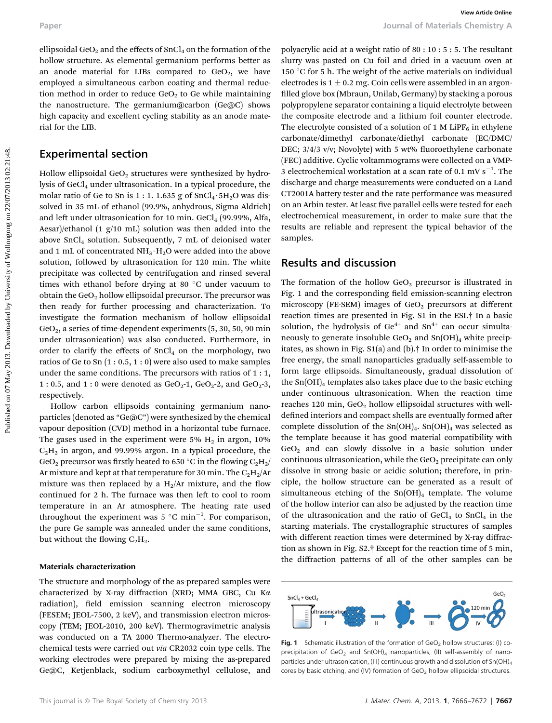ellipsoidal GeO<sub>2</sub> and the effects of SnCl<sub>4</sub> on the formation of the hollow structure. As elemental germanium performs better as an anode material for LIBs compared to  $GeO<sub>2</sub>$ , we have employed a simultaneous carbon coating and thermal reduction method in order to reduce  $GeO<sub>2</sub>$  to  $Ge$  while maintaining the nanostructure. The germanium@carbon (Ge@C) shows high capacity and excellent cycling stability as an anode material for the LIB.

#### Experimental section

Hollow ellipsoidal GeO<sub>2</sub> structures were synthesized by hydrolysis of  $GeCl<sub>4</sub>$  under ultrasonication. In a typical procedure, the molar ratio of Ge to Sn is 1 : 1. 1.635 g of  $SnCl<sub>4</sub>·5H<sub>2</sub>O$  was dissolved in 35 mL of ethanol (99.9%, anhydrous, Sigma Aldrich) and left under ultrasonication for 10 min.  $GeCl<sub>4</sub>$  (99.99%, Alfa, Aesar)/ethanol (1 g/10 mL) solution was then added into the above  $SnCl<sub>4</sub>$  solution. Subsequently, 7 mL of deionised water and 1 mL of concentrated  $NH_3 \cdot H_2O$  were added into the above solution, followed by ultrasonication for 120 min. The white precipitate was collected by centrifugation and rinsed several times with ethanol before drying at 80  $\degree$ C under vacuum to obtain the  $GeO<sub>2</sub>$  hollow ellipsoidal precursor. The precursor was then ready for further processing and characterization. To investigate the formation mechanism of hollow ellipsoidal GeO<sub>2</sub>, a series of time-dependent experiments (5, 30, 50, 90 min under ultrasonication) was also conducted. Furthermore, in order to clarify the effects of  $SnCl<sub>4</sub>$  on the morphology, two ratios of Ge to Sn (1 : 0.5, 1 : 0) were also used to make samples under the same conditions. The precursors with ratios of 1 : 1, 1 : 0.5, and 1 : 0 were denoted as  $GeO_2$ -1,  $GeO_2$ -2, and  $GeO_2$ -3, respectively. Puper<br>
Puper is commissional of the effects of set 0, on 1 for Euckle control of the control of the effects of the control of the effects of the control of the effects of the control of Cali and the control of the control

Hollow carbon ellipsoids containing germanium nanoparticles (denoted as "Ge@C") were synthesized by the chemical vapour deposition (CVD) method in a horizontal tube furnace. The gases used in the experiment were 5%  $H_2$  in argon, 10%  $C<sub>2</sub>H<sub>2</sub>$  in argon, and 99.99% argon. In a typical procedure, the GeO<sub>2</sub> precursor was firstly heated to 650 °C in the flowing  $C_2H_2$ / Ar mixture and kept at that temperature for 30 min. The  $\rm{C_2H_2/Ar}$ mixture was then replaced by a  $H_2/Ar$  mixture, and the flow continued for 2 h. The furnace was then left to cool to room temperature in an Ar atmosphere. The heating rate used throughout the experiment was 5  $^{\circ} \mathrm{C}$  min $^{-1}$ . For comparison, the pure Ge sample was annealed under the same conditions, but without the flowing  $C_2H_2$ .

#### Materials characterization

The structure and morphology of the as-prepared samples were characterized by X-ray diffraction (XRD; MMA GBC, Cu Ka radiation), field emission scanning electron microscopy (FESEM; JEOL-7500, 2 keV), and transmission electron microscopy (TEM; JEOL-2010, 200 keV). Thermogravimetric analysis was conducted on a TA 2000 Thermo-analyzer. The electrochemical tests were carried out via CR2032 coin type cells. The working electrodes were prepared by mixing the as-prepared Ge@C, Ketjenblack, sodium carboxymethyl cellulose, and polyacrylic acid at a weight ratio of 80 : 10 : 5 : 5. The resultant slurry was pasted on Cu foil and dried in a vacuum oven at 150 °C for 5 h. The weight of the active materials on individual electrodes is  $1 \pm 0.2$  mg. Coin cells were assembled in an argonfilled glove box (Mbraun, Unilab, Germany) by stacking a porous polypropylene separator containing a liquid electrolyte between the composite electrode and a lithium foil counter electrode. The electrolyte consisted of a solution of 1 M LiPF<sub>6</sub> in ethylene carbonate/dimethyl carbonate/diethyl carbonate (EC/DMC/ DEC; 3/4/3 v/v; Novolyte) with 5 wt% fluoroethylene carbonate (FEC) additive. Cyclic voltammograms were collected on a VMP-3 electrochemical workstation at a scan rate of 0.1 mV  $s^{-1}$ . The discharge and charge measurements were conducted on a Land CT2001A battery tester and the rate performance was measured on an Arbin tester. At least five parallel cells were tested for each electrochemical measurement, in order to make sure that the results are reliable and represent the typical behavior of the samples.

#### Results and discussion

The formation of the hollow  $GeO<sub>2</sub>$  precursor is illustrated in Fig. 1 and the corresponding field emission-scanning electron microscopy (FE-SEM) images of GeO<sub>2</sub> precursors at different reaction times are presented in Fig. S1 in the ESI.† In a basic solution, the hydrolysis of  $Ge^{4+}$  and  $Sn^{4+}$  can occur simultaneously to generate insoluble  $GeO<sub>2</sub>$  and  $Sn(OH)<sub>4</sub>$  white precipitates, as shown in Fig. S1(a) and (b).† In order to minimise the free energy, the small nanoparticles gradually self-assemble to form large ellipsoids. Simultaneously, gradual dissolution of the  $Sn(OH)<sub>4</sub>$  templates also takes place due to the basic etching under continuous ultrasonication. When the reaction time reaches 120 min,  $GeO<sub>2</sub>$  hollow ellipsoidal structures with welldefined interiors and compact shells are eventually formed after complete dissolution of the  $Sn(OH)_4$ .  $Sn(OH)_4$  was selected as the template because it has good material compatibility with  $GeO<sub>2</sub>$  and can slowly dissolve in a basic solution under continuous ultrasonication, while the  $GeO<sub>2</sub>$  precipitate can only dissolve in strong basic or acidic solution; therefore, in principle, the hollow structure can be generated as a result of simultaneous etching of the  $Sn(OH)_4$  template. The volume of the hollow interior can also be adjusted by the reaction time of the ultrasonication and the ratio of  $GeCl<sub>4</sub>$  to  $SnCl<sub>4</sub>$  in the starting materials. The crystallographic structures of samples with different reaction times were determined by X-ray diffraction as shown in Fig. S2.† Except for the reaction time of 5 min, the diffraction patterns of all of the other samples can be



Fig. 1 Schematic illustration of the formation of  $GeO<sub>2</sub>$  hollow structures: (I) coprecipitation of  $GeO<sub>2</sub>$  and  $Sn(OH)<sub>4</sub>$  nanoparticles, (II) self-assembly of nanoparticles under ultrasonication, (III) continuous growth and dissolution of Sn(OH)<sub>4</sub> cores by basic etching, and (IV) formation of  $GeO<sub>2</sub>$  hollow ellipsoidal structures.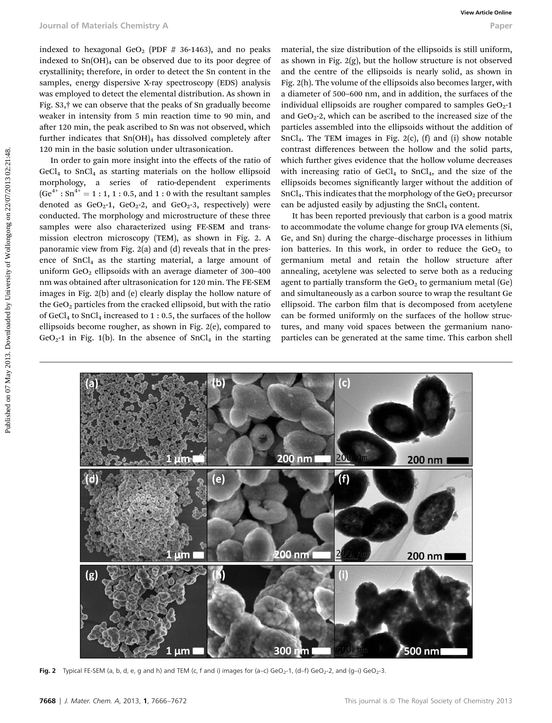indexed to hexagonal  $GeO<sub>2</sub>$  (PDF # 36-1463), and no peaks indexed to  $Sn(OH)_4$  can be observed due to its poor degree of crystallinity; therefore, in order to detect the Sn content in the samples, energy dispersive X-ray spectroscopy (EDS) analysis was employed to detect the elemental distribution. As shown in Fig. S3,† we can observe that the peaks of Sn gradually become weaker in intensity from 5 min reaction time to 90 min, and after 120 min, the peak ascribed to Sn was not observed, which further indicates that  $Sn(OH)_4$  has dissolved completely after 120 min in the basic solution under ultrasonication.

In order to gain more insight into the effects of the ratio of  $GeCl<sub>4</sub>$  to  $SnCl<sub>4</sub>$  as starting materials on the hollow ellipsoid morphology, a series of ratio-dependent experiments  $(Ge^{4+} : Sn^{4+} = 1 : 1, 1 : 0.5, and 1 : 0 with the resultant samples)$ denoted as  $GeO<sub>2</sub>$ -1,  $GeO<sub>2</sub>$ -2, and  $GeO<sub>2</sub>$ -3, respectively) were conducted. The morphology and microstructure of these three samples were also characterized using FE-SEM and transmission electron microscopy (TEM), as shown in Fig. 2. A panoramic view from Fig. 2(a) and (d) reveals that in the presence of  $SnCl<sub>4</sub>$  as the starting material, a large amount of uniform  $GeO<sub>2</sub>$  ellipsoids with an average diameter of 300-400 nm was obtained after ultrasonication for 120 min. The FE-SEM images in Fig. 2(b) and (e) clearly display the hollow nature of the  $GeO<sub>2</sub>$  particles from the cracked ellipsoid, but with the ratio of GeCl<sub>4</sub> to SnCl<sub>4</sub> increased to 1 : 0.5, the surfaces of the hollow ellipsoids become rougher, as shown in Fig. 2(e), compared to  $GeO<sub>2</sub>$ -1 in Fig. 1(b). In the absence of SnCl<sub>4</sub> in the starting Fournal of Materials Chemistry A<br>
indexed by hexaps and the speak of the constraints in the speak of the speak of the speak of the speak of the speak of the speak of the speak of World Chemistry of the speak of World Chemi

material, the size distribution of the ellipsoids is still uniform, as shown in Fig.  $2(g)$ , but the hollow structure is not observed and the centre of the ellipsoids is nearly solid, as shown in Fig. 2(h). The volume of the ellipsoids also becomes larger, with a diameter of 500–600 nm, and in addition, the surfaces of the individual ellipsoids are rougher compared to samples  $GeO<sub>2</sub>$ -1 and  $GeO<sub>2</sub>$ -2, which can be ascribed to the increased size of the particles assembled into the ellipsoids without the addition of  $SnCl<sub>4</sub>$ . The TEM images in Fig. 2(c), (f) and (i) show notable contrast differences between the hollow and the solid parts, which further gives evidence that the hollow volume decreases with increasing ratio of  $GeCl<sub>4</sub>$  to  $SnCl<sub>4</sub>$ , and the size of the ellipsoids becomes significantly larger without the addition of  $SnCl<sub>4</sub>$ . This indicates that the morphology of the  $GeO<sub>2</sub>$  precursor can be adjusted easily by adjusting the  $SnCl<sub>4</sub>$  content.

It has been reported previously that carbon is a good matrix to accommodate the volume change for group IVA elements (Si, Ge, and Sn) during the charge–discharge processes in lithium ion batteries. In this work, in order to reduce the  $GeO<sub>2</sub>$  to germanium metal and retain the hollow structure after annealing, acetylene was selected to serve both as a reducing agent to partially transform the  $GeO<sub>2</sub>$  to germanium metal (Ge) and simultaneously as a carbon source to wrap the resultant Ge ellipsoid. The carbon film that is decomposed from acetylene can be formed uniformly on the surfaces of the hollow structures, and many void spaces between the germanium nanoparticles can be generated at the same time. This carbon shell



Fig. 2 Typical FE-SEM (a, b, d, e, q and h) and TEM (c, f and i) images for (a–c) GeO<sub>2</sub>-1, (d–f) GeO<sub>2</sub>-2, and (q–i) GeO<sub>2</sub>-3.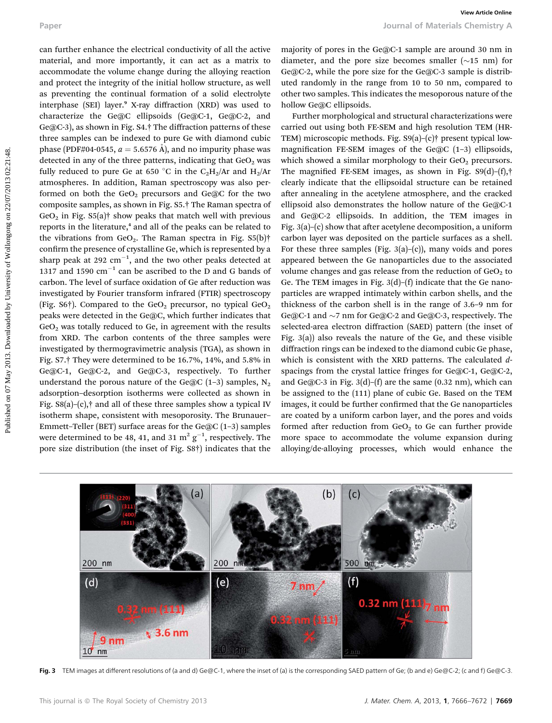can further enhance the electrical conductivity of all the active material, and more importantly, it can act as a matrix to accommodate the volume change during the alloying reaction and protect the integrity of the initial hollow structure, as well as preventing the continual formation of a solid electrolyte interphase (SEI) layer.<sup>9</sup> X-ray diffraction (XRD) was used to characterize the Ge@C ellipsoids (Ge@C-1, Ge@C-2, and Ge@C-3), as shown in Fig. S4.† The diffraction patterns of these three samples can be indexed to pure Ge with diamond cubic phase (PDF#04-0545,  $a = 5.6576$  Å), and no impurity phase was detected in any of the three patterns, indicating that  $GeO<sub>2</sub>$  was fully reduced to pure Ge at 650 °C in the C<sub>2</sub>H<sub>2</sub>/Ar and H<sub>2</sub>/Ar atmospheres. In addition, Raman spectroscopy was also performed on both the  $GeO<sub>2</sub>$  precursors and  $Ge@C$  for the two composite samples, as shown in Fig. S5.† The Raman spectra of  $GeO<sub>2</sub>$  in Fig. S5(a)<sup>†</sup> show peaks that match well with previous reports in the literature,<sup>4</sup> and all of the peaks can be related to the vibrations from  $GeO<sub>2</sub>$ . The Raman spectra in Fig. S5(b)<sup>†</sup> confirm the presence of crystalline Ge, which is represented by a sharp peak at 292  $\mathrm{cm}^{-1}$ , and the two other peaks detected at 1317 and 1590  $\text{cm}^{-1}$  can be ascribed to the D and G bands of carbon. The level of surface oxidation of Ge after reduction was investigated by Fourier transform infrared (FTIR) spectroscopy (Fig. S6†). Compared to the GeO<sub>2</sub> precursor, no typical GeO<sub>2</sub> peaks were detected in the Ge@C, which further indicates that  $GeO<sub>2</sub>$  was totally reduced to Ge, in agreement with the results from XRD. The carbon contents of the three samples were investigated by thermogravimetric analysis (TGA), as shown in Fig. S7.† They were determined to be 16.7%, 14%, and 5.8% in Ge@C-1, Ge@C-2, and Ge@C-3, respectively. To further understand the porous nature of the Ge@C (1-3) samples,  $N_2$ adsorption–desorption isotherms were collected as shown in Fig.  $S8(a)$ –(c),† and all of these three samples show a typical IV isotherm shape, consistent with mesoporosity. The Brunauer– Emmett–Teller (BET) surface areas for the  $Ge@C(1-3)$  samples were determined to be 48, 41, and 31  $\mathrm{m^2\,g^{-1}}$ , respectively. The pore size distribution (the inset of Fig. S8†) indicates that the Puper<br>
Fuenty of the detectional conductivity of all the active emaginty of pores in the GenC-1 sample are acount of his minimized on the minimized on the minimized on the minimized on the minimized on the minimized on the

majority of pores in the Ge@C-1 sample are around 30 nm in diameter, and the pore size becomes smaller  $(\sim 15 \text{ nm})$  for Ge@C-2, while the pore size for the Ge@C-3 sample is distributed randomly in the range from 10 to 50 nm, compared to other two samples. This indicates the mesoporous nature of the hollow Ge@C ellipsoids.

Further morphological and structural characterizations were carried out using both FE-SEM and high resolution TEM (HR-TEM) microscopic methods. Fig. S9(a)–(c)† present typical lowmagnification FE-SEM images of the Ge@C  $(1-3)$  ellipsoids, which showed a similar morphology to their  $GeO<sub>2</sub>$  precursors. The magnified FE-SEM images, as shown in Fig.  $S9(d)$ –(f),† clearly indicate that the ellipsoidal structure can be retained after annealing in the acetylene atmosphere, and the cracked ellipsoid also demonstrates the hollow nature of the Ge@C-1 and Ge@C-2 ellipsoids. In addition, the TEM images in Fig.  $3(a)$ –(c) show that after acetylene decomposition, a uniform carbon layer was deposited on the particle surfaces as a shell. For these three samples (Fig. 3(a)–(c)), many voids and pores appeared between the Ge nanoparticles due to the associated volume changes and gas release from the reduction of  $GeO<sub>2</sub>$  to Ge. The TEM images in Fig.  $3(d)$ – $(f)$  indicate that the Ge nanoparticles are wrapped intimately within carbon shells, and the thickness of the carbon shell is in the range of 3.6–9 nm for Ge@C-1 and  $\sim$ 7 nm for Ge@C-2 and Ge@C-3, respectively. The selected-area electron diffraction (SAED) pattern (the inset of Fig. 3(a)) also reveals the nature of the Ge, and these visible diffraction rings can be indexed to the diamond cubic Ge phase, which is consistent with the XRD patterns. The calculated dspacings from the crystal lattice fringes for Ge@C-1, Ge@C-2, and Ge@C-3 in Fig.  $3(d)$ – $(f)$  are the same  $(0.32 \text{ nm})$ , which can be assigned to the (111) plane of cubic Ge. Based on the TEM images, it could be further confirmed that the Ge nanoparticles are coated by a uniform carbon layer, and the pores and voids formed after reduction from  $GeO<sub>2</sub>$  to Ge can further provide more space to accommodate the volume expansion during alloying/de-alloying processes, which would enhance the



Fig. 3 TEM images at different resolutions of (a and d) Ge@C-1, where the inset of (a) is the corresponding SAED pattern of Ge; (b and e) Ge@C-2; (c and f) Ge@C-3.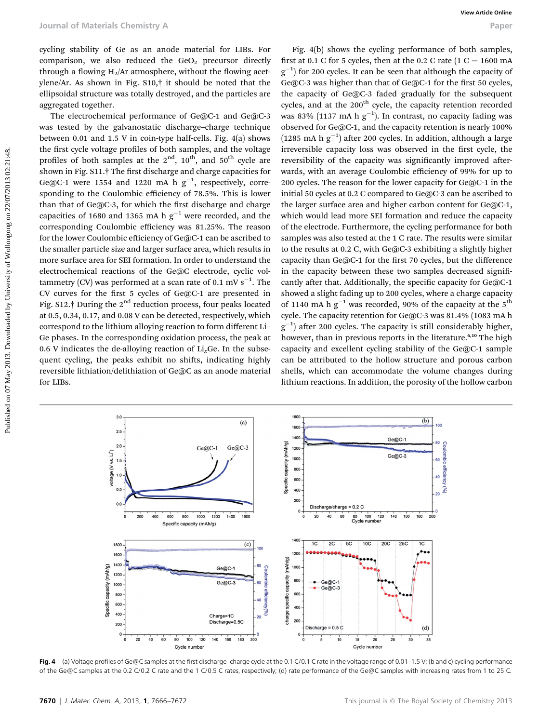cycling stability of Ge as an anode material for LIBs. For comparison, we also reduced the  $GeO<sub>2</sub>$  precursor directly through a flowing  $H_2/Ar$  atmosphere, without the flowing acetylene/Ar. As shown in Fig. S10,† it should be noted that the ellipsoidal structure was totally destroyed, and the particles are aggregated together.

The electrochemical performance of Ge@C-1 and Ge@C-3 was tested by the galvanostatic discharge–charge technique between 0.01 and 1.5 V in coin-type half-cells. Fig. 4(a) shows the first cycle voltage profiles of both samples, and the voltage profiles of both samples at the  $2<sup>nd</sup>$ ,  $10<sup>th</sup>$ , and  $50<sup>th</sup>$  cycle are shown in Fig. S11.<sup>†</sup> The first discharge and charge capacities for Ge@C-1 were 1554 and 1220 mA h  $g^{-1}$ , respectively, corresponding to the Coulombic efficiency of 78.5%. This is lower than that of  $Ge@C-3$ , for which the first discharge and charge capacities of 1680 and 1365 mA h  $g^{-1}$  were recorded, and the corresponding Coulombic efficiency was 81.25%. The reason for the lower Coulombic efficiency of Ge@C-1 can be ascribed to the smaller particle size and larger surface area, which results in more surface area for SEI formation. In order to understand the electrochemical reactions of the Ge@C electrode, cyclic voltammetry (CV) was performed at a scan rate of 0.1 mV  $\rm s^{-1}.$  The CV curves for the first 5 cycles of Ge@C-1 are presented in Fig. S12.† During the  $2<sup>nd</sup>$  reduction process, four peaks located at 0.5, 0.34, 0.17, and 0.08 V can be detected, respectively, which correspond to the lithium alloying reaction to form different Li– Ge phases. In the corresponding oxidation process, the peak at 0.6 V indicates the de-alloying reaction of  $Li<sub>x</sub>Ge$ . In the subsequent cycling, the peaks exhibit no shifts, indicating highly reversible lithiation/delithiation of Ge@C as an anode material for LIBs.

Fig. 4(b) shows the cycling performance of both samples, first at 0.1 C for 5 cycles, then at the 0.2 C rate  $(1 C = 1600$  mA  $g^{-1}$ ) for 200 cycles. It can be seen that although the capacity of Ge@C-3 was higher than that of Ge@C-1 for the first 50 cycles, the capacity of Ge@C-3 faded gradually for the subsequent cycles, and at the 200<sup>th</sup> cycle, the capacity retention recorded was 83% (1137 mA h  $\rm{g^{-1}}$ ). In contrast, no capacity fading was observed for Ge@C-1, and the capacity retention is nearly 100% (1285 mA h  $g^{-1}$ ) after 200 cycles. In addition, although a large irreversible capacity loss was observed in the first cycle, the reversibility of the capacity was significantly improved afterwards, with an average Coulombic efficiency of 99% for up to 200 cycles. The reason for the lower capacity for Ge@C-1 in the initial 50 cycles at 0.2 C compared to Ge@C-3 can be ascribed to the larger surface area and higher carbon content for Ge@C-1, which would lead more SEI formation and reduce the capacity of the electrode. Furthermore, the cycling performance for both samples was also tested at the 1 C rate. The results were similar to the results at 0.2 C, with Ge@C-3 exhibiting a slightly higher capacity than  $Ge@C-1$  for the first 70 cycles, but the difference in the capacity between these two samples decreased significantly after that. Additionally, the specific capacity for Ge@C-1 showed a slight fading up to 200 cycles, where a charge capacity of 1140 mA h  $g^{-1}$  was recorded, 90% of the capacity at the 5<sup>th</sup> cycle. The capacity retention for Ge@C-3 was 81.4% (1083 mA h  $g^{-1}$ ) after 200 cycles. The capacity is still considerably higher, however, than in previous reports in the literature.<sup>6,10</sup> The high capacity and excellent cycling stability of the Ge@C-1 sample can be attributed to the hollow structure and porous carbon shells, which can accommodate the volume changes during lithium reactions. In addition, the porosity of the hollow carbon Puture in Materials Chemistry A<br>
ording stability of Ge as an anode material for LHS. For  $W_2$  allohomo die Gyding performance of both amples<br>
entrarction, we also reduced the God, present distributed by the 1.0.1 G is 5.



Fig. 4 (a) Voltage profiles of Ge@C samples at the first discharge–charge cycle at the 0.1 C/0.1 C rate in the voltage range of 0.01–1.5 V; (b and c) cycling performance of the Ge@C samples at the 0.2 C/0.2 C rate and the 1 C/0.5 C rates, respectively; (d) rate performance of the Ge@C samples with increasing rates from 1 to 25 C.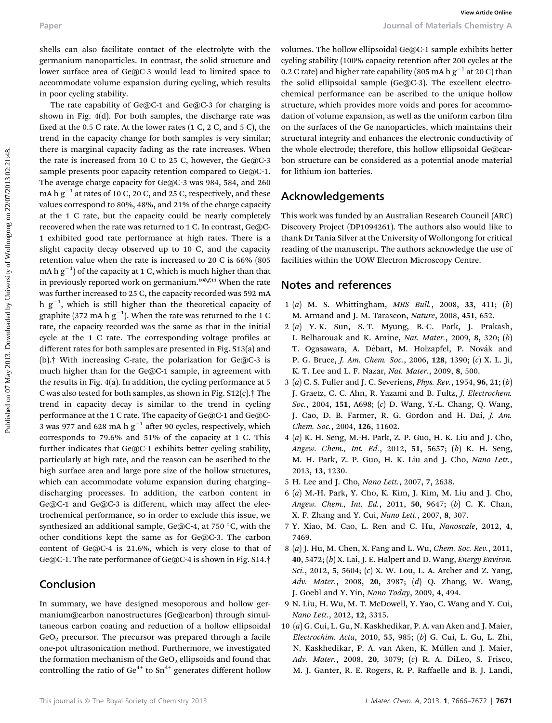shells can also facilitate contact of the electrolyte with the germanium nanoparticles. In contrast, the solid structure and lower surface area of Ge@C-3 would lead to limited space to accommodate volume expansion during cycling, which results in poor cycling stability.

The rate capability of Ge@C-1 and Ge@C-3 for charging is shown in Fig. 4(d). For both samples, the discharge rate was fixed at the 0.5 C rate. At the lower rates  $(1 C, 2 C, 4 C)$ , the trend in the capacity change for both samples is very similar; there is marginal capacity fading as the rate increases. When the rate is increased from 10 C to 25 C, however, the Ge@C-3 sample presents poor capacity retention compared to Ge@C-1. The average charge capacity for Ge@C-3 was 984, 584, and 260 mA h  $g^{-1}$  at rates of 10 C, 20 C, and 25 C, respectively, and these values correspond to 80%, 48%, and 21% of the charge capacity at the 1 C rate, but the capacity could be nearly completely recovered when the rate was returned to 1 C. In contrast, Ge@C-1 exhibited good rate performance at high rates. There is a slight capacity decay observed up to 10 C, and the capacity retention value when the rate is increased to 20 C is 66% (805 mA h  $\rm{g}^{-1})$  of the capacity at 1 C, which is much higher than that in previously reported work on germanium.<sup>10b,f,11</sup> When the rate was further increased to 25 C, the capacity recorded was 592 mA h  $g^{-1}$ , which is still higher than the theoretical capacity of graphite (372 mA h  $\rm{g}^{-1}$ ). When the rate was returned to the 1 C rate, the capacity recorded was the same as that in the initial cycle at the 1 C rate. The corresponding voltage profiles at different rates for both samples are presented in Fig. S13(a) and (b).† With increasing C-rate, the polarization for Ge@C-3 is much higher than for the Ge@C-1 sample, in agreement with the results in Fig. 4(a). In addition, the cycling performance at 5 C was also tested for both samples, as shown in Fig. S12(c).† The trend in capacity decay is similar to the trend in cycling performance at the 1 C rate. The capacity of Ge@C-1 and Ge@C-3 was 977 and 628 mA h  $g^{-1}$  after 90 cycles, respectively, which corresponds to 79.6% and 51% of the capacity at 1 C. This further indicates that Ge@C-1 exhibits better cycling stability, particularly at high rate, and the reason can be ascribed to the high surface area and large pore size of the hollow structures, which can accommodate volume expansion during charging– discharging processes. In addition, the carbon content in Ge@C-1 and Ge@C-3 is different, which may affect the electrochemical performance, so in order to exclude this issue, we synthesized an additional sample, Ge@C-4, at 750  $^{\circ}$ C, with the other conditions kept the same as for Ge@C-3. The carbon content of Ge@C-4 is 21.6%, which is very close to that of Ge@C-1. The rate performance of Ge@C-4 is shown in Fig. S14.† Paper<br> **Paper**<br> **Shells can also facilitate contact of the electrolyte with the volumes, the hollow ellipsoidal cortext a sumple contact is promotional the electron contact in terms of the system in corresponding the cont** 

### Conclusion

In summary, we have designed mesoporous and hollow germanium@carbon nanostructures (Ge@carbon) through simultaneous carbon coating and reduction of a hollow ellipsoidal GeO<sub>2</sub> precursor. The precursor was prepared through a facile one-pot ultrasonication method. Furthermore, we investigated the formation mechanism of the GeO<sub>2</sub> ellipsoids and found that controlling the ratio of  $Ge^{4+}$  to  $Sn^{4+}$  generates different hollow

volumes. The hollow ellipsoidal Ge@C-1 sample exhibits better cycling stability (100% capacity retention after 200 cycles at the 0.2 C rate) and higher rate capability (805 mA h g $^{-1}$  at 20 C) than the solid ellipsoidal sample (Ge@C-3). The excellent electrochemical performance can be ascribed to the unique hollow structure, which provides more voids and pores for accommodation of volume expansion, as well as the uniform carbon film on the surfaces of the Ge nanoparticles, which maintains their structural integrity and enhances the electronic conductivity of the whole electrode; therefore, this hollow ellipsoidal Ge@carbon structure can be considered as a potential anode material for lithium ion batteries.

#### Acknowledgements

This work was funded by an Australian Research Council (ARC) Discovery Project (DP1094261). The authors also would like to thank Dr Tania Silver at the University of Wollongong for critical reading of the manuscript. The authors acknowledge the use of facilities within the UOW Electron Microscopy Centre.

### Notes and references

- 1 (a) M. S. Whittingham, MRS Bull., 2008, 33, 411; (b) M. Armand and J. M. Tarascon, Nature, 2008, 451, 652.
- 2 (a) Y.-K. Sun, S.-T. Myung, B.-C. Park, J. Prakash, I. Belharouak and K. Amine, Nat. Mater., 2009, 8, 320; (b) T. Ogasawara, A. Débart, M. Holzapfel, P. Novák and P. G. Bruce, J. Am. Chem. Soc., 2006, 128, 1390; (c) X. L. Ji, K. T. Lee and L. F. Nazar, Nat. Mater., 2009, 8, 500.
- 3 (a) C. S. Fuller and J. C. Severiens, Phys. Rev., 1954, 96, 21; (b) J. Graetz, C. C. Ahn, R. Yazami and B. Fultz, J. Electrochem. Soc., 2004, 151, A698; (c) D. Wang, Y.-L. Chang, Q. Wang, J. Cao, D. B. Farmer, R. G. Gordon and H. Dai, J. Am. Chem. Soc., 2004, 126, 11602.
- 4 (a) K. H. Seng, M.-H. Park, Z. P. Guo, H. K. Liu and J. Cho, Angew. Chem., Int. Ed., 2012, 51, 5657; (b) K. H. Seng, M. H. Park, Z. P. Guo, H. K. Liu and J. Cho, Nano Lett., 2013, 13, 1230.
- 5 H. Lee and J. Cho, Nano Lett., 2007, 7, 2638.
- 6 (a) M.-H. Park, Y. Cho, K. Kim, J. Kim, M. Liu and J. Cho, Angew. Chem., Int. Ed., 2011, 50, 9647; (b) C. K. Chan, X. F. Zhang and Y. Cui, Nano Lett., 2007, 8, 307.
- 7 Y. Xiao, M. Cao, L. Ren and C. Hu, Nanoscale, 2012, 4, 7469.
- 8 (a) J. Hu, M. Chen, X. Fang and L. Wu, Chem. Soc. Rev., 2011, 40, 5472; (b) X. Lai, J. E. Halpert and D. Wang, Energy Environ. Sci., 2012, 5, 5604; (c) X. W. Lou, L. A. Archer and Z. Yang, Adv. Mater., 2008, 20, 3987; (d) Q. Zhang, W. Wang, J. Goebl and Y. Yin, Nano Today, 2009, 4, 494.
- 9 N. Liu, H. Wu, M. T. McDowell, Y. Yao, C. Wang and Y. Cui, Nano Lett., 2012, 12, 3315.
- 10 (a) G. Cui, L. Gu, N. Kaskhedikar, P. A. van Aken and J. Maier, Electrochim. Acta, 2010, 55, 985; (b) G. Cui, L. Gu, L. Zhi, N. Kaskhedikar, P. A. van Aken, K. Müllen and J. Maier, Adv. Mater., 2008, 20, 3079; (c) R. A. DiLeo, S. Frisco, M. J. Ganter, R. E. Rogers, R. P. Raffaelle and B. J. Landi,